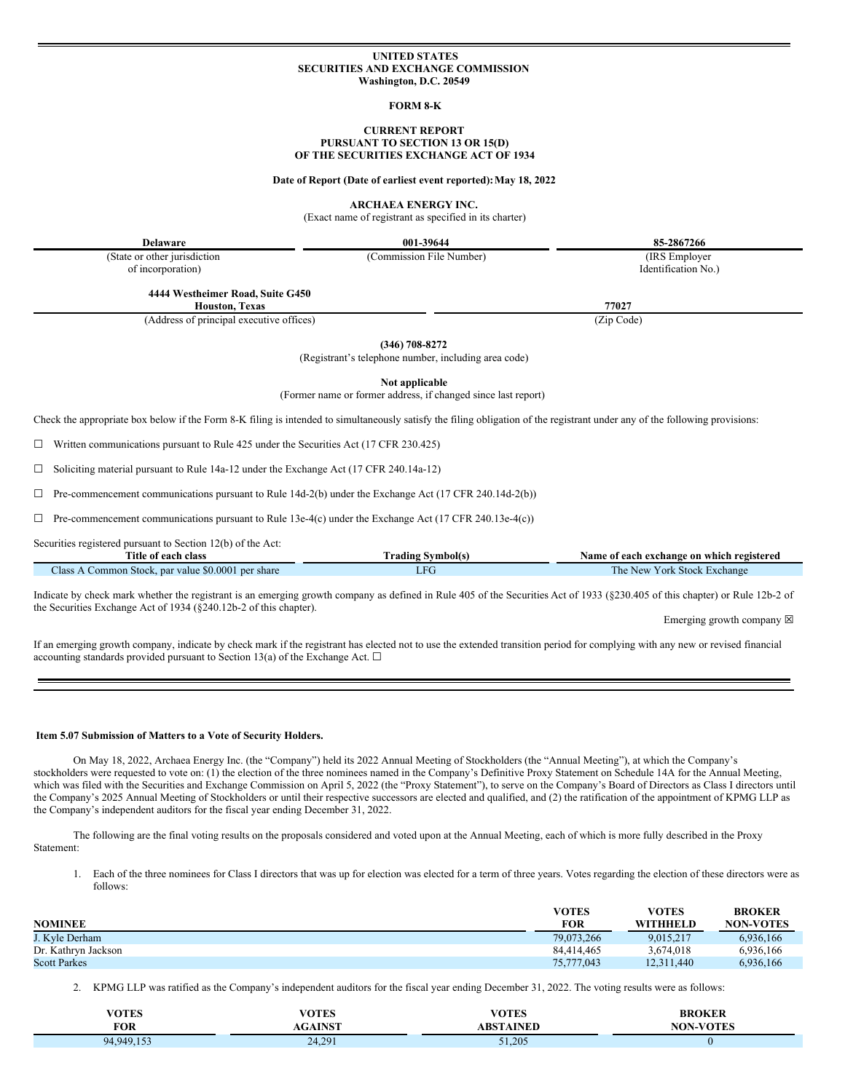### **UNITED STATES SECURITIES AND EXCHANGE COMMISSION Washington, D.C. 20549**

#### **FORM 8-K**

### **CURRENT REPORT PURSUANT TO SECTION 13 OR 15(D) OF THE SECURITIES EXCHANGE ACT OF 1934**

**Date of Report (Date of earliest event reported):May 18, 2022**

**ARCHAEA ENERGY INC.**

(Exact name of registrant as specified in its charter)

**Delaware 001-39644 85-2867266**

(State or other jurisdiction of incorporation)

**4444 Westheimer Road, Suite G450**

**Houston, Texas 77027**

(Address of principal executive offices) (Zip Code)

**(346) 708-8272**

(Registrant's telephone number, including area code)

**Not applicable**

(Former name or former address, if changed since last report)

Check the appropriate box below if the Form 8-K filing is intended to simultaneously satisfy the filing obligation of the registrant under any of the following provisions:

 $\Box$  Written communications pursuant to Rule 425 under the Securities Act (17 CFR 230.425)

☐ Soliciting material pursuant to Rule 14a-12 under the Exchange Act (17 CFR 240.14a-12)

 $\Box$  Pre-commencement communications pursuant to Rule 14d-2(b) under the Exchange Act (17 CFR 240.14d-2(b))

 $\Box$  Pre-commencement communications pursuant to Rule 13e-4(c) under the Exchange Act (17 CFR 240.13e-4(c))

Securities registered pursuant to Section 12(b) of the Act:

| Title of each<br>class                                               | --<br>rading<br>Symbol(s) | f each exchange on which registered<br>Name of |  |
|----------------------------------------------------------------------|---------------------------|------------------------------------------------|--|
| $\pm$ \$0.0001 per share<br>Stock.<br>lass<br>. par value<br>common. | <b>The Street</b><br>. .  | The New<br>York Stock<br>±xchange              |  |

Indicate by check mark whether the registrant is an emerging growth company as defined in Rule 405 of the Securities Act of 1933 (§230.405 of this chapter) or Rule 12b-2 of the Securities Exchange Act of 1934 (§240.12b-2 of this chapter).

Emerging growth company  $\boxtimes$ 

If an emerging growth company, indicate by check mark if the registrant has elected not to use the extended transition period for complying with any new or revised financial accounting standards provided pursuant to Section 13(a) of the Exchange Act.  $\square$ 

## **Item 5.07 Submission of Matters to a Vote of Security Holders.**

On May 18, 2022, Archaea Energy Inc. (the "Company") held its 2022 Annual Meeting of Stockholders (the "Annual Meeting"), at which the Company's stockholders were requested to vote on: (1) the election of the three nominees named in the Company's Definitive Proxy Statement on Schedule 14A for the Annual Meeting, which was filed with the Securities and Exchange Commission on April 5, 2022 (the "Proxy Statement"), to serve on the Company's Board of Directors as Class I directors until the Company's 2025 Annual Meeting of Stockholders or until their respective successors are elected and qualified, and (2) the ratification of the appointment of KPMG LLP as the Company's independent auditors for the fiscal year ending December 31, 2022.

The following are the final voting results on the proposals considered and voted upon at the Annual Meeting, each of which is more fully described in the Proxy Statement:

1. Each of the three nominees for Class I directors that was up for election was elected for a term of three years. Votes regarding the election of these directors were as follows:

| <b>NOMINEE</b>      | VOTES<br><b>FOR</b> | VOTES<br><b>WITHHELD</b> | <b>BROKER</b><br><b>NON-VOTES</b> |
|---------------------|---------------------|--------------------------|-----------------------------------|
| J. Kyle Derham      | 79,073,266          | 9.015.217                | 6,936,166                         |
| Dr. Kathryn Jackson | 84.414.465          | 3.674.018                | 6.936.166                         |
| <b>Scott Parkes</b> | 75,777,043          | 12.311.440               | 6.936.166                         |

2. KPMG LLP was ratified as the Company's independent auditors for the fiscal year ending December 31, 2022. The voting results were as follows:

| <b>VOTES</b> | VOTES                  | VOTEC     | <b>BROKER</b> |
|--------------|------------------------|-----------|---------------|
| FOR          | <b>TALOR</b><br>. V.J. | ABSTAINED | <b>-VOTES</b> |
| 94.949.153   | 24.291                 | 51,205    |               |

(Commission File Number) (IRS Employer Identification No.)